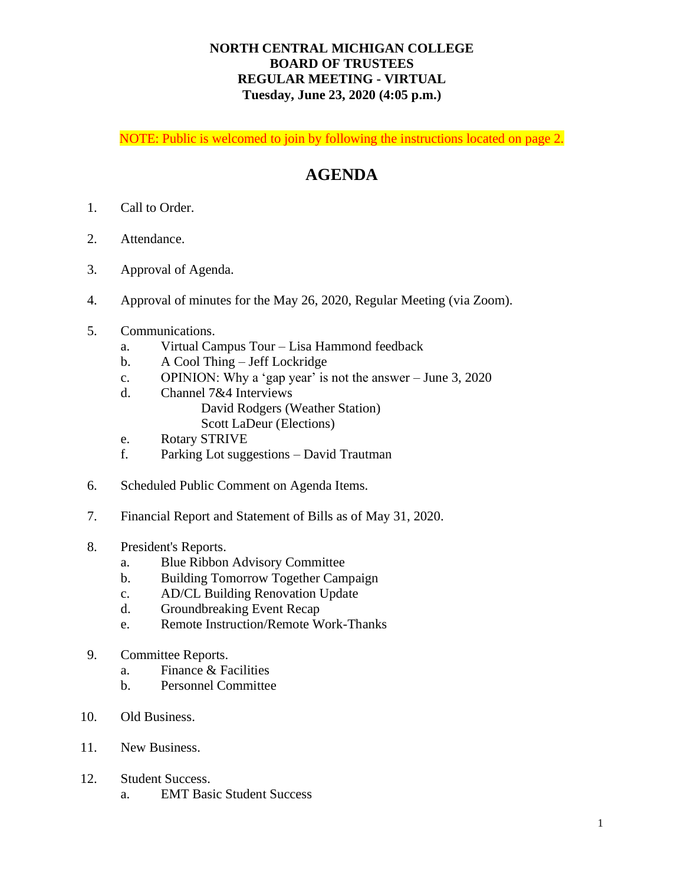## **NORTH CENTRAL MICHIGAN COLLEGE BOARD OF TRUSTEES REGULAR MEETING - VIRTUAL Tuesday, June 23, 2020 (4:05 p.m.)**

NOTE: Public is welcomed to join by following the instructions located on page 2.

# **AGENDA**

- 1. Call to Order.
- 2. Attendance.
- 3. Approval of Agenda.
- 4. Approval of minutes for the May 26, 2020, Regular Meeting (via Zoom).
- 5. Communications.
	- a. Virtual Campus Tour Lisa Hammond feedback
	- b. A Cool Thing Jeff Lockridge
	- c. OPINION: Why a 'gap year' is not the answer June 3, 2020
	- d. Channel 7&4 Interviews
		- David Rodgers (Weather Station)
		- Scott LaDeur (Elections)
	- e. Rotary STRIVE
	- f. Parking Lot suggestions David Trautman
- 6. Scheduled Public Comment on Agenda Items.
- 7. Financial Report and Statement of Bills as of May 31, 2020.

#### 8. President's Reports.

- a. Blue Ribbon Advisory Committee
- b. Building Tomorrow Together Campaign
- c. AD/CL Building Renovation Update
- d. Groundbreaking Event Recap
- e. Remote Instruction/Remote Work-Thanks
- 9. Committee Reports.
	- a. Finance & Facilities
	- b. Personnel Committee
- 10. Old Business.
- 11. New Business.
- 12. Student Success.
	- a. EMT Basic Student Success